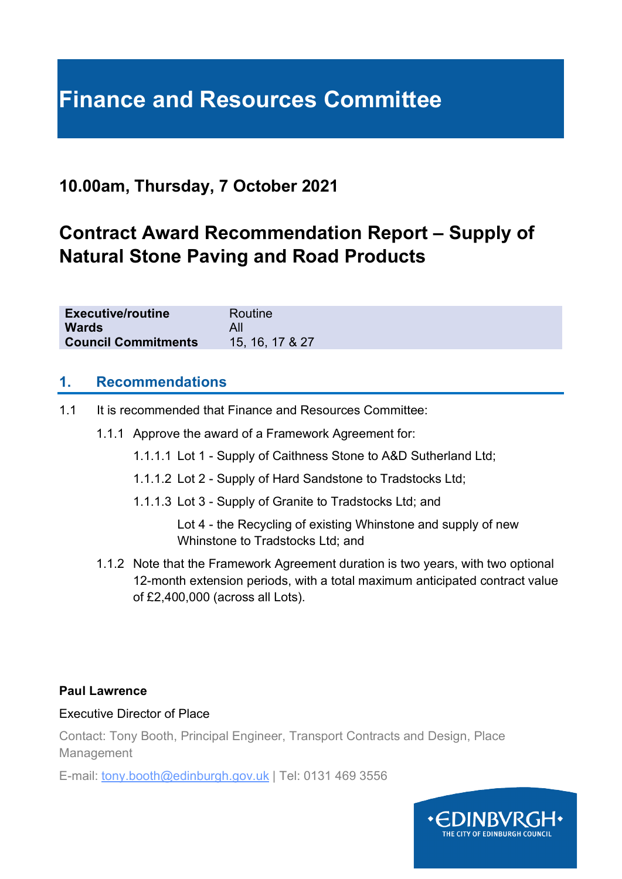# **Finance and Resources Committee**

# **10.00am, Thursday, 7 October 2021**

# **Contract Award Recommendation Report – Supply of Natural Stone Paving and Road Products**

| <b>Executive/routine</b>   | Routine         |
|----------------------------|-----------------|
| <b>Wards</b>               |                 |
| <b>Council Commitments</b> | 15, 16, 17 & 27 |

#### **1. Recommendations**

- 1.1 It is recommended that Finance and Resources Committee:
	- 1.1.1 Approve the award of a Framework Agreement for:
		- 1.1.1.1 Lot 1 Supply of Caithness Stone to A&D Sutherland Ltd;
		- 1.1.1.2 Lot 2 Supply of Hard Sandstone to Tradstocks Ltd;
		- 1.1.1.3 Lot 3 Supply of Granite to Tradstocks Ltd; and
			- Lot 4 the Recycling of existing Whinstone and supply of new Whinstone to Tradstocks Ltd; and
	- 1.1.2 Note that the Framework Agreement duration is two years, with two optional 12-month extension periods, with a total maximum anticipated contract value of £2,400,000 (across all Lots).

#### **Paul Lawrence**

#### Executive Director of Place

Contact: Tony Booth, Principal Engineer, Transport Contracts and Design, Place Management

E-mail: tony.booth@edinburgh.gov.uk | Tel: 0131 469 3556

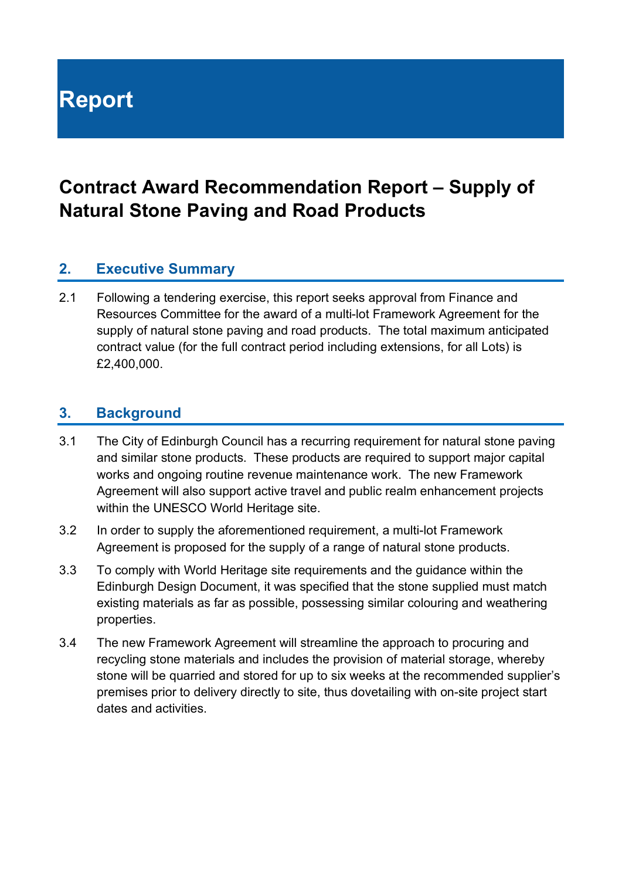# **Report**

# **Contract Award Recommendation Report – Supply of Natural Stone Paving and Road Products**

## **2. Executive Summary**

2.1 Following a tendering exercise, this report seeks approval from Finance and Resources Committee for the award of a multi-lot Framework Agreement for the supply of natural stone paving and road products. The total maximum anticipated contract value (for the full contract period including extensions, for all Lots) is £2,400,000.

#### **3. Background**

- 3.1 The City of Edinburgh Council has a recurring requirement for natural stone paving and similar stone products. These products are required to support major capital works and ongoing routine revenue maintenance work. The new Framework Agreement will also support active travel and public realm enhancement projects within the UNESCO World Heritage site.
- 3.2 In order to supply the aforementioned requirement, a multi-lot Framework Agreement is proposed for the supply of a range of natural stone products.
- 3.3 To comply with World Heritage site requirements and the guidance within the Edinburgh Design Document, it was specified that the stone supplied must match existing materials as far as possible, possessing similar colouring and weathering properties.
- 3.4 The new Framework Agreement will streamline the approach to procuring and recycling stone materials and includes the provision of material storage, whereby stone will be quarried and stored for up to six weeks at the recommended supplier's premises prior to delivery directly to site, thus dovetailing with on-site project start dates and activities.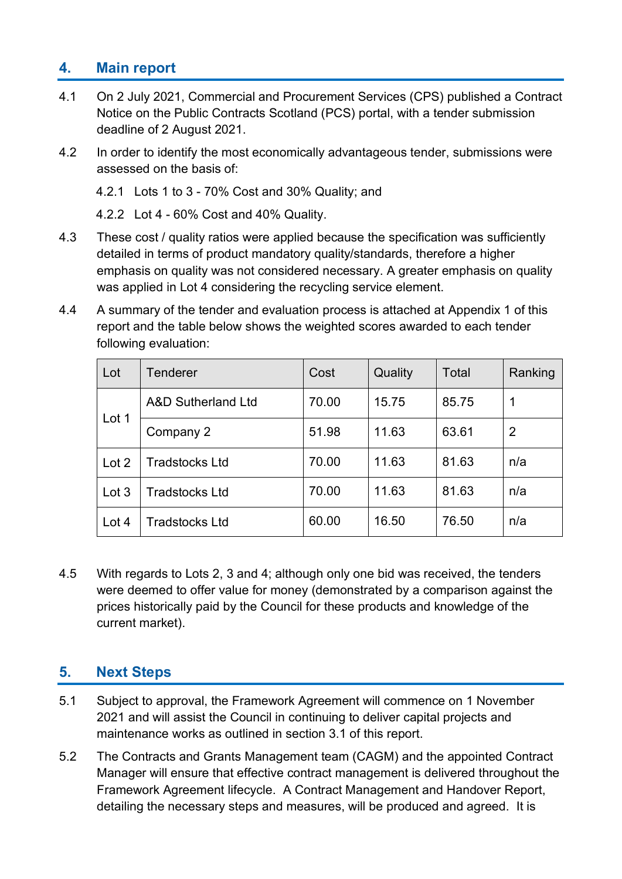# **4. Main report**

- 4.1 On 2 July 2021, Commercial and Procurement Services (CPS) published a Contract Notice on the Public Contracts Scotland (PCS) portal, with a tender submission deadline of 2 August 2021.
- 4.2 In order to identify the most economically advantageous tender, submissions were assessed on the basis of:

4.2.1 Lots 1 to 3 - 70% Cost and 30% Quality; and

4.2.2 Lot 4 - 60% Cost and 40% Quality.

- 4.3 These cost / quality ratios were applied because the specification was sufficiently detailed in terms of product mandatory quality/standards, therefore a higher emphasis on quality was not considered necessary. A greater emphasis on quality was applied in Lot 4 considering the recycling service element.
- 4.4 A summary of the tender and evaluation process is attached at Appendix 1 of this report and the table below shows the weighted scores awarded to each tender following evaluation:

| Lot   | Tenderer              | Cost  | Quality | Total | Ranking |
|-------|-----------------------|-------|---------|-------|---------|
| Lot 1 | A&D Sutherland Ltd    | 70.00 | 15.75   | 85.75 |         |
|       | Company 2             | 51.98 | 11.63   | 63.61 | 2       |
| Lot 2 | <b>Tradstocks Ltd</b> | 70.00 | 11.63   | 81.63 | n/a     |
| Lot 3 | <b>Tradstocks Ltd</b> | 70.00 | 11.63   | 81.63 | n/a     |
| Lot 4 | <b>Tradstocks Ltd</b> | 60.00 | 16.50   | 76.50 | n/a     |

4.5 With regards to Lots 2, 3 and 4; although only one bid was received, the tenders were deemed to offer value for money (demonstrated by a comparison against the prices historically paid by the Council for these products and knowledge of the current market).

# **5. Next Steps**

- 5.1 Subject to approval, the Framework Agreement will commence on 1 November 2021 and will assist the Council in continuing to deliver capital projects and maintenance works as outlined in section 3.1 of this report.
- 5.2 The Contracts and Grants Management team (CAGM) and the appointed Contract Manager will ensure that effective contract management is delivered throughout the Framework Agreement lifecycle. A Contract Management and Handover Report, detailing the necessary steps and measures, will be produced and agreed. It is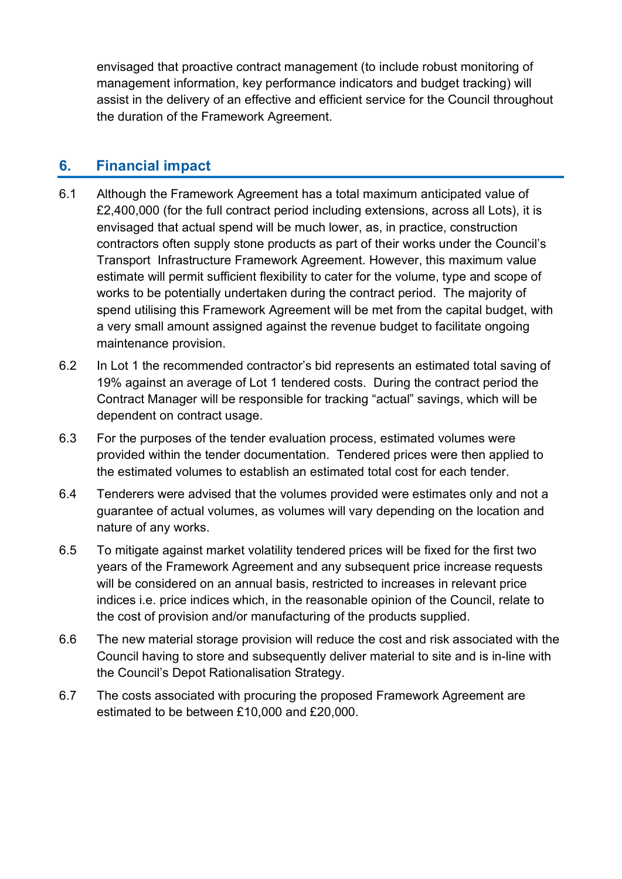envisaged that proactive contract management (to include robust monitoring of management information, key performance indicators and budget tracking) will assist in the delivery of an effective and efficient service for the Council throughout the duration of the Framework Agreement.

#### **6. Financial impact**

- 6.1 Although the Framework Agreement has a total maximum anticipated value of £2,400,000 (for the full contract period including extensions, across all Lots), it is envisaged that actual spend will be much lower, as, in practice, construction contractors often supply stone products as part of their works under the Council's Transport Infrastructure Framework Agreement. However, this maximum value estimate will permit sufficient flexibility to cater for the volume, type and scope of works to be potentially undertaken during the contract period. The majority of spend utilising this Framework Agreement will be met from the capital budget, with a very small amount assigned against the revenue budget to facilitate ongoing maintenance provision.
- 6.2 In Lot 1 the recommended contractor's bid represents an estimated total saving of 19% against an average of Lot 1 tendered costs. During the contract period the Contract Manager will be responsible for tracking "actual" savings, which will be dependent on contract usage.
- 6.3 For the purposes of the tender evaluation process, estimated volumes were provided within the tender documentation. Tendered prices were then applied to the estimated volumes to establish an estimated total cost for each tender.
- 6.4 Tenderers were advised that the volumes provided were estimates only and not a guarantee of actual volumes, as volumes will vary depending on the location and nature of any works.
- 6.5 To mitigate against market volatility tendered prices will be fixed for the first two years of the Framework Agreement and any subsequent price increase requests will be considered on an annual basis, restricted to increases in relevant price indices i.e. price indices which, in the reasonable opinion of the Council, relate to the cost of provision and/or manufacturing of the products supplied.
- 6.6 The new material storage provision will reduce the cost and risk associated with the Council having to store and subsequently deliver material to site and is in-line with the Council's Depot Rationalisation Strategy.
- 6.7 The costs associated with procuring the proposed Framework Agreement are estimated to be between £10,000 and £20,000.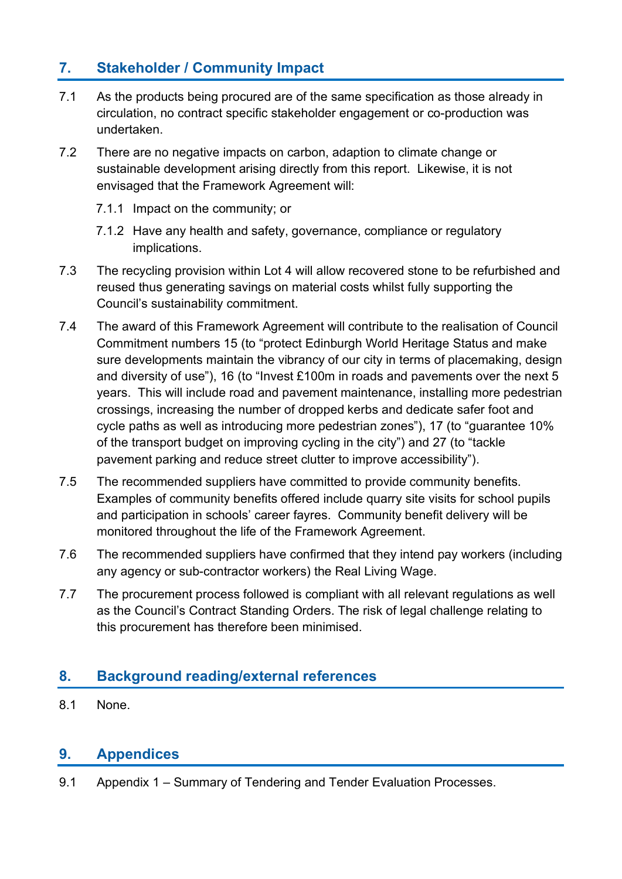# **7. Stakeholder / Community Impact**

- 7.1 As the products being procured are of the same specification as those already in circulation, no contract specific stakeholder engagement or co-production was undertaken.
- 7.2 There are no negative impacts on carbon, adaption to climate change or sustainable development arising directly from this report. Likewise, it is not envisaged that the Framework Agreement will:
	- 7.1.1 Impact on the community; or
	- 7.1.2 Have any health and safety, governance, compliance or regulatory implications.
- 7.3 The recycling provision within Lot 4 will allow recovered stone to be refurbished and reused thus generating savings on material costs whilst fully supporting the Council's sustainability commitment.
- 7.4 The award of this Framework Agreement will contribute to the realisation of Council Commitment numbers 15 (to "protect Edinburgh World Heritage Status and make sure developments maintain the vibrancy of our city in terms of placemaking, design and diversity of use"), 16 (to "Invest £100m in roads and pavements over the next 5 years. This will include road and pavement maintenance, installing more pedestrian crossings, increasing the number of dropped kerbs and dedicate safer foot and cycle paths as well as introducing more pedestrian zones"), 17 (to "guarantee 10% of the transport budget on improving cycling in the city") and 27 (to "tackle pavement parking and reduce street clutter to improve accessibility").
- 7.5 The recommended suppliers have committed to provide community benefits. Examples of community benefits offered include quarry site visits for school pupils and participation in schools' career fayres. Community benefit delivery will be monitored throughout the life of the Framework Agreement.
- 7.6 The recommended suppliers have confirmed that they intend pay workers (including any agency or sub-contractor workers) the Real Living Wage.
- 7.7 The procurement process followed is compliant with all relevant regulations as well as the Council's Contract Standing Orders. The risk of legal challenge relating to this procurement has therefore been minimised.

### **8. Background reading/external references**

8.1 None.

### **9. Appendices**

9.1 Appendix 1 – Summary of Tendering and Tender Evaluation Processes.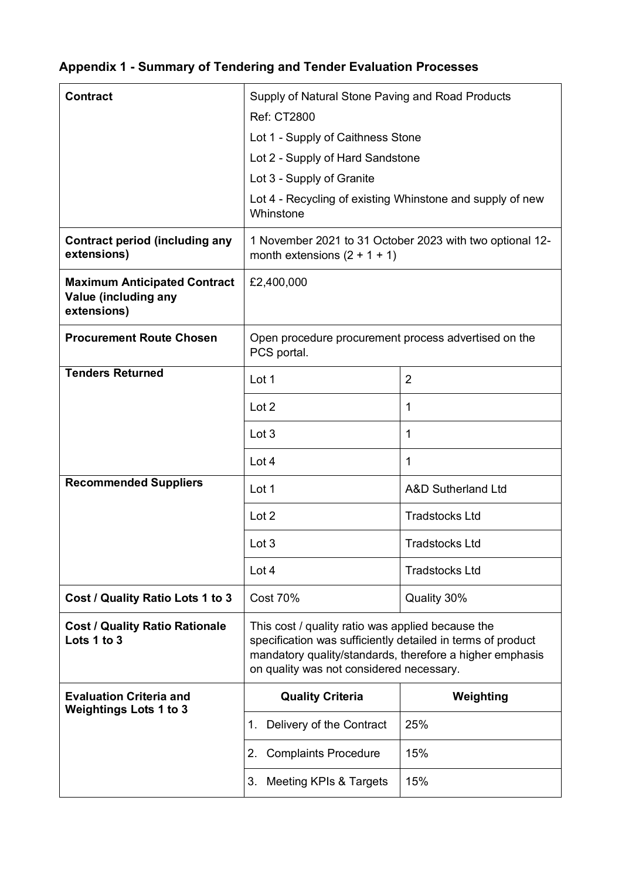# **Appendix 1 - Summary of Tendering and Tender Evaluation Processes**

| <b>Contract</b>                                                            | Supply of Natural Stone Paving and Road Products                                                                                                                                                                         |                               |  |  |
|----------------------------------------------------------------------------|--------------------------------------------------------------------------------------------------------------------------------------------------------------------------------------------------------------------------|-------------------------------|--|--|
|                                                                            | <b>Ref: CT2800</b>                                                                                                                                                                                                       |                               |  |  |
|                                                                            | Lot 1 - Supply of Caithness Stone                                                                                                                                                                                        |                               |  |  |
|                                                                            | Lot 2 - Supply of Hard Sandstone                                                                                                                                                                                         |                               |  |  |
|                                                                            | Lot 3 - Supply of Granite                                                                                                                                                                                                |                               |  |  |
|                                                                            | Lot 4 - Recycling of existing Whinstone and supply of new<br>Whinstone                                                                                                                                                   |                               |  |  |
| <b>Contract period (including any</b><br>extensions)                       | 1 November 2021 to 31 October 2023 with two optional 12-<br>month extensions $(2 + 1 + 1)$                                                                                                                               |                               |  |  |
| <b>Maximum Anticipated Contract</b><br>Value (including any<br>extensions) | £2,400,000                                                                                                                                                                                                               |                               |  |  |
| <b>Procurement Route Chosen</b>                                            | Open procedure procurement process advertised on the<br>PCS portal.                                                                                                                                                      |                               |  |  |
| <b>Tenders Returned</b>                                                    | Lot 1                                                                                                                                                                                                                    | $\overline{2}$                |  |  |
|                                                                            | Lot 2                                                                                                                                                                                                                    | 1                             |  |  |
|                                                                            | Lot 3                                                                                                                                                                                                                    | 1                             |  |  |
|                                                                            | Lot 4                                                                                                                                                                                                                    | $\mathbf{1}$                  |  |  |
| <b>Recommended Suppliers</b>                                               | Lot 1                                                                                                                                                                                                                    | <b>A&amp;D Sutherland Ltd</b> |  |  |
|                                                                            | Lot 2                                                                                                                                                                                                                    | <b>Tradstocks Ltd</b>         |  |  |
|                                                                            | Lot 3                                                                                                                                                                                                                    | <b>Tradstocks Ltd</b>         |  |  |
|                                                                            | Lot 4                                                                                                                                                                                                                    | <b>Tradstocks Ltd</b>         |  |  |
| Cost / Quality Ratio Lots 1 to 3                                           | <b>Cost 70%</b>                                                                                                                                                                                                          | Quality 30%                   |  |  |
| <b>Cost / Quality Ratio Rationale</b><br>Lots 1 to 3                       | This cost / quality ratio was applied because the<br>specification was sufficiently detailed in terms of product<br>mandatory quality/standards, therefore a higher emphasis<br>on quality was not considered necessary. |                               |  |  |
| <b>Evaluation Criteria and</b><br><b>Weightings Lots 1 to 3</b>            | <b>Quality Criteria</b>                                                                                                                                                                                                  | Weighting                     |  |  |
|                                                                            | Delivery of the Contract<br>1.                                                                                                                                                                                           | 25%                           |  |  |
|                                                                            | <b>Complaints Procedure</b><br>2.                                                                                                                                                                                        | 15%                           |  |  |
|                                                                            | Meeting KPIs & Targets<br>3.                                                                                                                                                                                             | 15%                           |  |  |